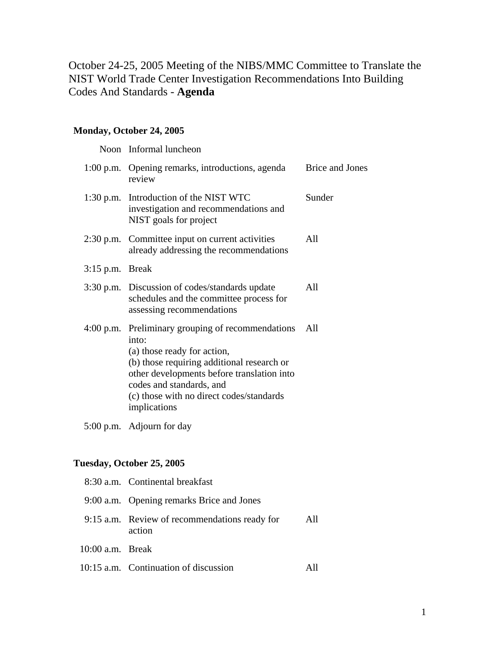October 24-25, 2005 Meeting of the NIBS/MMC Committee to Translate the NIST World Trade Center Investigation Recommendations Into Building Codes And Standards - **Agenda**

## **Monday, October 24, 2005**

|             | Noon Informal luncheon                                                                                                                                                                                                                                                        |                        |
|-------------|-------------------------------------------------------------------------------------------------------------------------------------------------------------------------------------------------------------------------------------------------------------------------------|------------------------|
|             | 1:00 p.m. Opening remarks, introductions, agenda<br>review                                                                                                                                                                                                                    | <b>Brice and Jones</b> |
|             | 1:30 p.m. Introduction of the NIST WTC<br>investigation and recommendations and<br>NIST goals for project                                                                                                                                                                     | Sunder                 |
|             | 2:30 p.m. Committee input on current activities<br>already addressing the recommendations                                                                                                                                                                                     | All                    |
| $3:15$ p.m. | <b>Break</b>                                                                                                                                                                                                                                                                  |                        |
|             | 3:30 p.m. Discussion of codes/standards update<br>schedules and the committee process for<br>assessing recommendations                                                                                                                                                        | All                    |
|             | 4:00 p.m. Preliminary grouping of recommendations<br>into:<br>(a) those ready for action,<br>(b) those requiring additional research or<br>other developments before translation into<br>codes and standards, and<br>(c) those with no direct codes/standards<br>implications | All                    |
|             |                                                                                                                                                                                                                                                                               |                        |

5:00 p.m. Adjourn for day

## **Tuesday, October 25, 2005**

|                    | 8:30 a.m. Continental breakfast                         |     |
|--------------------|---------------------------------------------------------|-----|
|                    | 9:00 a.m. Opening remarks Brice and Jones               |     |
|                    | 9:15 a.m. Review of recommendations ready for<br>action | All |
| $10:00$ a.m. Break |                                                         |     |
|                    | 10:15 a.m. Continuation of discussion                   |     |